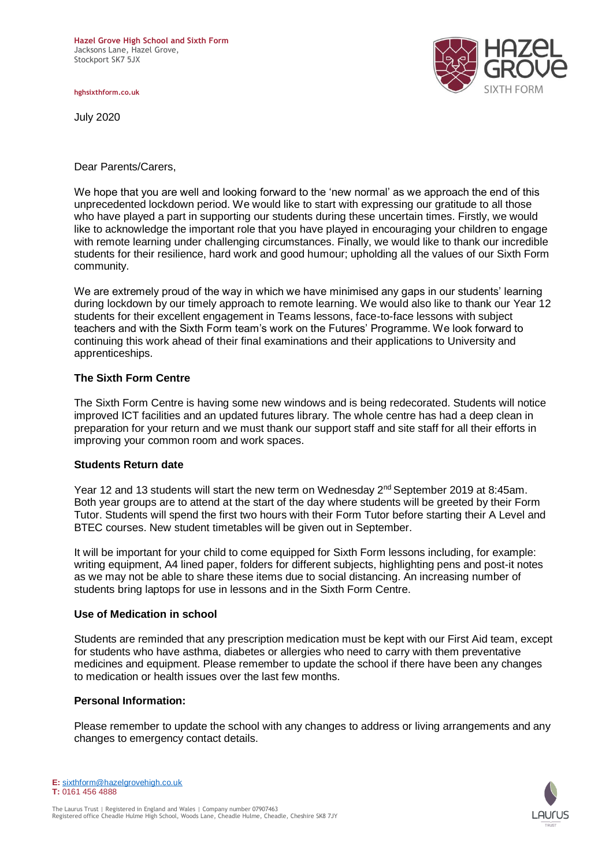**hghsixthform.co.uk**

July 2020



Dear Parents/Carers,

We hope that you are well and looking forward to the 'new normal' as we approach the end of this unprecedented lockdown period. We would like to start with expressing our gratitude to all those who have played a part in supporting our students during these uncertain times. Firstly, we would like to acknowledge the important role that you have played in encouraging your children to engage with remote learning under challenging circumstances. Finally, we would like to thank our incredible students for their resilience, hard work and good humour; upholding all the values of our Sixth Form community.

We are extremely proud of the way in which we have minimised any gaps in our students' learning during lockdown by our timely approach to remote learning. We would also like to thank our Year 12 students for their excellent engagement in Teams lessons, face-to-face lessons with subject teachers and with the Sixth Form team's work on the Futures' Programme. We look forward to continuing this work ahead of their final examinations and their applications to University and apprenticeships.

## **The Sixth Form Centre**

The Sixth Form Centre is having some new windows and is being redecorated. Students will notice improved ICT facilities and an updated futures library. The whole centre has had a deep clean in preparation for your return and we must thank our support staff and site staff for all their efforts in improving your common room and work spaces.

### **Students Return date**

Year 12 and 13 students will start the new term on Wednesday 2<sup>nd</sup> September 2019 at 8:45am. Both year groups are to attend at the start of the day where students will be greeted by their Form Tutor. Students will spend the first two hours with their Form Tutor before starting their A Level and BTEC courses. New student timetables will be given out in September.

It will be important for your child to come equipped for Sixth Form lessons including, for example: writing equipment, A4 lined paper, folders for different subjects, highlighting pens and post-it notes as we may not be able to share these items due to social distancing. An increasing number of students bring laptops for use in lessons and in the Sixth Form Centre.

### **Use of Medication in school**

Students are reminded that any prescription medication must be kept with our First Aid team, except for students who have asthma, diabetes or allergies who need to carry with them preventative medicines and equipment. Please remember to update the school if there have been any changes to medication or health issues over the last few months.

### **Personal Information:**

Please remember to update the school with any changes to address or living arrangements and any changes to emergency contact details.

**E:** [sixthform@hazelgrovehigh.co.uk](mailto:sixthform@hazelgrovehigh.co.uk) **T:** 0161 456 4888

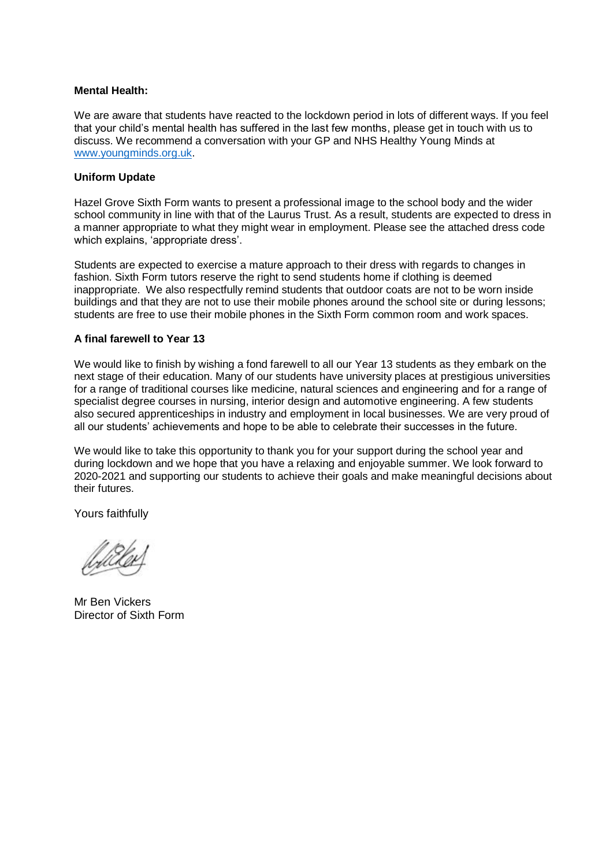#### **Mental Health:**

We are aware that students have reacted to the lockdown period in lots of different ways. If you feel that your child's mental health has suffered in the last few months, please get in touch with us to discuss. We recommend a conversation with your GP and NHS Healthy Young Minds at [www.youngminds.org.uk.](http://www.youngminds.org.uk/)

### **Uniform Update**

Hazel Grove Sixth Form wants to present a professional image to the school body and the wider school community in line with that of the Laurus Trust. As a result, students are expected to dress in a manner appropriate to what they might wear in employment. Please see the attached dress code which explains, 'appropriate dress'.

Students are expected to exercise a mature approach to their dress with regards to changes in fashion. Sixth Form tutors reserve the right to send students home if clothing is deemed inappropriate. We also respectfully remind students that outdoor coats are not to be worn inside buildings and that they are not to use their mobile phones around the school site or during lessons; students are free to use their mobile phones in the Sixth Form common room and work spaces.

### **A final farewell to Year 13**

We would like to finish by wishing a fond farewell to all our Year 13 students as they embark on the next stage of their education. Many of our students have university places at prestigious universities for a range of traditional courses like medicine, natural sciences and engineering and for a range of specialist degree courses in nursing, interior design and automotive engineering. A few students also secured apprenticeships in industry and employment in local businesses. We are very proud of all our students' achievements and hope to be able to celebrate their successes in the future.

We would like to take this opportunity to thank you for your support during the school year and during lockdown and we hope that you have a relaxing and enjoyable summer. We look forward to 2020-2021 and supporting our students to achieve their goals and make meaningful decisions about their futures.

Yours faithfully

Mr Ben Vickers Director of Sixth Form